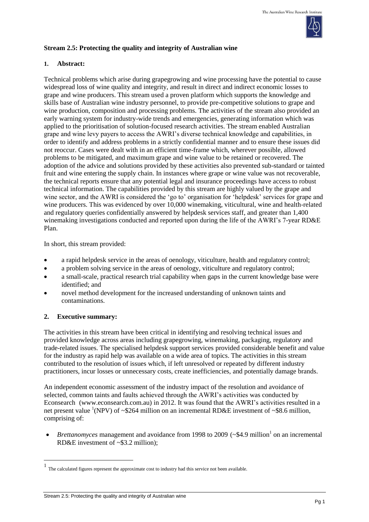

# **Stream 2.5: Protecting the quality and integrity of Australian wine**

### **1. Abstract:**

Technical problems which arise during grapegrowing and wine processing have the potential to cause widespread loss of wine quality and integrity, and result in direct and indirect economic losses to grape and wine producers. This stream used a proven platform which supports the knowledge and skills base of Australian wine industry personnel, to provide pre-competitive solutions to grape and wine production, composition and processing problems. The activities of the stream also provided an early warning system for industry-wide trends and emergencies, generating information which was applied to the prioritisation of solution-focused research activities. The stream enabled Australian grape and wine levy payers to access the AWRI's diverse technical knowledge and capabilities, in order to identify and address problems in a strictly confidential manner and to ensure these issues did not reoccur. Cases were dealt with in an efficient time-frame which, wherever possible, allowed problems to be mitigated, and maximum grape and wine value to be retained or recovered. The adoption of the advice and solutions provided by these activities also prevented sub-standard or tainted fruit and wine entering the supply chain. In instances where grape or wine value was not recoverable, the technical reports ensure that any potential legal and insurance proceedings have access to robust technical information. The capabilities provided by this stream are highly valued by the grape and wine sector, and the AWRI is considered the 'go to' organisation for 'helpdesk' services for grape and wine producers. This was evidenced by over 10,000 winemaking, viticultural, wine and health-related and regulatory queries confidentially answered by helpdesk services staff, and greater than 1,400 winemaking investigations conducted and reported upon during the life of the AWRI's 7-year RD&E Plan.

In short, this stream provided:

- a rapid helpdesk service in the areas of oenology, viticulture, health and regulatory control;
- a problem solving service in the areas of oenology, viticulture and regulatory control;
- a small-scale, practical research trial capability when gaps in the current knowledge base were identified; and
- novel method development for the increased understanding of unknown taints and contaminations.

# **2. Executive summary:**

 $\overline{a}$ 

The activities in this stream have been critical in identifying and resolving technical issues and provided knowledge across areas including grapegrowing, winemaking, packaging, regulatory and trade-related issues. The specialised helpdesk support services provided considerable benefit and value for the industry as rapid help was available on a wide area of topics. The activities in this stream contributed to the resolution of issues which, if left unresolved or repeated by different industry practitioners, incur losses or unnecessary costs, create inefficiencies, and potentially damage brands.

An independent economic assessment of the industry impact of the resolution and avoidance of selected, common taints and faults achieved through the AWRI's activities was conducted by Econsearch [\(www.econsearch.com.au\)](http://www.econsearch.com.au/) in 2012. It was found that the AWRI's activities resulted in a net present value <sup>1</sup>(NPV) of ~\$264 million on an incremental RD&E investment of ~\$8.6 million, comprising of:

 $\bullet$  *Brettanomyces* management and avoidance from 1998 to 2009 ( $\textless 4.9}$  million<sup>1</sup> on an incremental RD&E investment of ~\$3.2 million);

<sup>1</sup> The calculated figures represent the approximate cost to industry had this service not been available.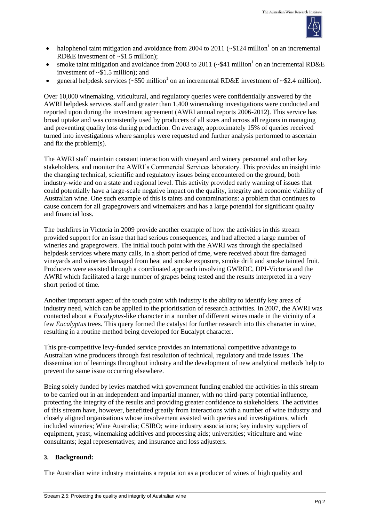

- halophenol taint mitigation and avoidance from 2004 to 2011 ( $\sim$ \$124 million<sup>1</sup> on an incremental RD&E investment of ~\$1.5 million);
- smoke taint mitigation and avoidance from 2003 to 2011  $(\sim $41 \text{ million}^1 \text{ on an incremental RD&E})$ investment of ~\$1.5 million); and
- general helpdesk services ( $\sim$ \$50 million<sup>1</sup> on an incremental RD&E investment of  $\sim$ \$2.4 million).

Over 10,000 winemaking, viticultural, and regulatory queries were confidentially answered by the AWRI helpdesk services staff and greater than 1,400 winemaking investigations were conducted and reported upon during the investment agreement (AWRI annual reports 2006-2012). This service has broad uptake and was consistently used by producers of all sizes and across all regions in managing and preventing quality loss during production. On average, approximately 15% of queries received turned into investigations where samples were requested and further analysis performed to ascertain and fix the problem(s).

The AWRI staff maintain constant interaction with vineyard and winery personnel and other key stakeholders, and monitor the AWRI's Commercial Services laboratory. This provides an insight into the changing technical, scientific and regulatory issues being encountered on the ground, both industry-wide and on a state and regional level. This activity provided early warning of issues that could potentially have a large-scale negative impact on the quality, integrity and economic viability of Australian wine. One such example of this is taints and contaminations: a problem that continues to cause concern for all grapegrowers and winemakers and has a large potential for significant quality and financial loss.

The bushfires in Victoria in 2009 provide another example of how the activities in this stream provided support for an issue that had serious consequences, and had affected a large number of wineries and grapegrowers. The initial touch point with the AWRI was through the specialised helpdesk services where many calls, in a short period of time, were received about fire damaged vineyards and wineries damaged from heat and smoke exposure, smoke drift and smoke tainted fruit. Producers were assisted through a coordinated approach involving GWRDC, DPI-Victoria and the AWRI which facilitated a large number of grapes being tested and the results interpreted in a very short period of time.

Another important aspect of the touch point with industry is the ability to identify key areas of industry need, which can be applied to the prioritisation of research activities. In 2007, the AWRI was contacted about a *Eucalyptus*-like character in a number of different wines made in the vicinity of a few *Eucalyptus* trees. This query formed the catalyst for further research into this character in wine, resulting in a routine method being developed for Eucalypt character.

This pre-competitive levy-funded service provides an international competitive advantage to Australian wine producers through fast resolution of technical, regulatory and trade issues. The dissemination of learnings throughout industry and the development of new analytical methods help to prevent the same issue occurring elsewhere.

Being solely funded by levies matched with government funding enabled the activities in this stream to be carried out in an independent and impartial manner, with no third-party potential influence, protecting the integrity of the results and providing greater confidence to stakeholders. The activities of this stream have, however, benefitted greatly from interactions with a number of wine industry and closely aligned organisations whose involvement assisted with queries and investigations, which included wineries; Wine Australia; CSIRO; wine industry associations; key industry suppliers of equipment, yeast, winemaking additives and processing aids; universities; viticulture and wine consultants; legal representatives; and insurance and loss adjusters.

# **3. Background:**

The Australian wine industry maintains a reputation as a producer of wines of high quality and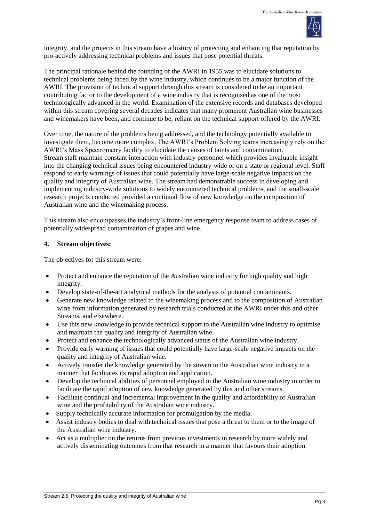

integrity, and the projects in this stream have a history of protecting and enhancing that reputation by pro-actively addressing technical problems and issues that pose potential threats.

The principal rationale behind the founding of the AWRI in 1955 was to elucidate solutions to technical problems being faced by the wine industry, which continues to be a major function of the AWRI. The provision of technical support through this stream is considered to be an important contributing factor to the development of a wine industry that is recognised as one of the most technologically advanced in the world. Examination of the extensive records and databases developed within this stream covering several decades indicates that many prominent Australian wine businesses and winemakers have been, and continue to be, reliant on the technical support offered by the AWRI.

Over time, the nature of the problems being addressed, and the technology potentially available to investigate them, become more complex. The AWRI's Problem Solving teams increasingly rely on the AWRI's Mass Spectrometry facility to elucidate the causes of taints and contamination. Stream staff maintain constant interaction with industry personnel which provides invaluable insight into the changing technical issues being encountered industry-wide or on a state or regional level. Staff respond to early warnings of issues that could potentially have large-scale negative impacts on the quality and integrity of Australian wine. The stream had demonstrable success in developing and implementing industry-wide solutions to widely encountered technical problems, and the small-scale research projects conducted provided a continual flow of new knowledge on the composition of Australian wine and the winemaking process.

This stream also encompasses the industry's front-line emergency response team to address cases of potentially widespread contamination of grapes and wine.

### **4. Stream objectives:**

The objectives for this stream were:

- Protect and enhance the reputation of the Australian wine industry for high quality and high integrity.
- Develop state-of-the-art analytical methods for the analysis of potential contaminants.
- Generate new knowledge related to the winemaking process and to the composition of Australian wine from information generated by research trials conducted at the AWRI under this and other Streams, and elsewhere.
- Use this new knowledge to provide technical support to the Australian wine industry to optimise and maintain the quality and integrity of Australian wine.
- Protect and enhance the technologically advanced status of the Australian wine industry.
- Provide early warning of issues that could potentially have large-scale negative impacts on the quality and integrity of Australian wine.
- Actively transfer the knowledge generated by the stream to the Australian wine industry in a manner that facilitates its rapid adoption and application.
- Develop the technical abilities of personnel employed in the Australian wine industry in order to facilitate the rapid adoption of new knowledge generated by this and other streams.
- Facilitate continual and incremental improvement in the quality and affordability of Australian wine and the profitability of the Australian wine industry.
- Supply technically accurate information for promulgation by the media.
- Assist industry bodies to deal with technical issues that pose a threat to them or to the image of the Australian wine industry.
- Act as a multiplier on the returns from previous investments in research by more widely and actively disseminating outcomes from that research in a manner that favours their adoption.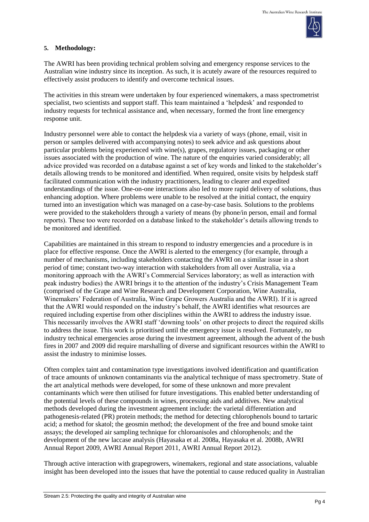

### **5. Methodology:**

The AWRI has been providing technical problem solving and emergency response services to the Australian wine industry since its inception. As such, it is acutely aware of the resources required to effectively assist producers to identify and overcome technical issues.

The activities in this stream were undertaken by four experienced winemakers, a mass spectrometrist specialist, two scientists and support staff. This team maintained a 'helpdesk' and responded to industry requests for technical assistance and, when necessary, formed the front line emergency response unit.

Industry personnel were able to contact the helpdesk via a variety of ways (phone, email, visit in person or samples delivered with accompanying notes) to seek advice and ask questions about particular problems being experienced with wine(s), grapes, regulatory issues, packaging or other issues associated with the production of wine. The nature of the enquiries varied considerably; all advice provided was recorded on a database against a set of key words and linked to the stakeholder's details allowing trends to be monitored and identified. When required, onsite visits by helpdesk staff facilitated communication with the industry practitioners, leading to clearer and expedited understandings of the issue. One-on-one interactions also led to more rapid delivery of solutions, thus enhancing adoption. Where problems were unable to be resolved at the initial contact, the enquiry turned into an investigation which was managed on a case-by-case basis. Solutions to the problems were provided to the stakeholders through a variety of means (by phone/in person, email and formal reports). These too were recorded on a database linked to the stakeholder's details allowing trends to be monitored and identified.

Capabilities are maintained in this stream to respond to industry emergencies and a procedure is in place for effective response. Once the AWRI is alerted to the emergency (for example, through a number of mechanisms, including stakeholders contacting the AWRI on a similar issue in a short period of time; constant two-way interaction with stakeholders from all over Australia, via a monitoring approach with the AWRI's Commercial Services laboratory; as well as interaction with peak industry bodies) the AWRI brings it to the attention of the industry's Crisis Management Team (comprised of the Grape and Wine Research and Development Corporation, Wine Australia, Winemakers' Federation of Australia, Wine Grape Growers Australia and the AWRI). If it is agreed that the AWRI would responded on the industry's behalf, the AWRI identifies what resources are required including expertise from other disciplines within the AWRI to address the industry issue. This necessarily involves the AWRI staff 'downing tools' on other projects to direct the required skills to address the issue. This work is prioritised until the emergency issue is resolved. Fortunately, no industry technical emergencies arose during the investment agreement, although the advent of the bush fires in 2007 and 2009 did require marshalling of diverse and significant resources within the AWRI to assist the industry to minimise losses.

Often complex taint and contamination type investigations involved identification and quantification of trace amounts of unknown contaminants via the analytical technique of mass spectrometry. State of the art analytical methods were developed, for some of these unknown and more prevalent contaminants which were then utilised for future investigations. This enabled better understanding of the potential levels of these compounds in wines, processing aids and additives. New analytical methods developed during the investment agreement include: the varietal differentiation and pathogenesis-related (PR) protein methods; the method for detecting chlorophenols bound to tartaric acid; a method for skatol; the geosmin method; the development of the free and bound smoke taint assays; the developed air sampling technique for chloroanisoles and chlorophenols; and the development of the new laccase analysis (Hayasaka et al. 2008a, Hayasaka et al. 2008b, AWRI Annual Report 2009, AWRI Annual Report 2011, AWRI Annual Report 2012).

Through active interaction with grapegrowers, winemakers, regional and state associations, valuable insight has been developed into the issues that have the potential to cause reduced quality in Australian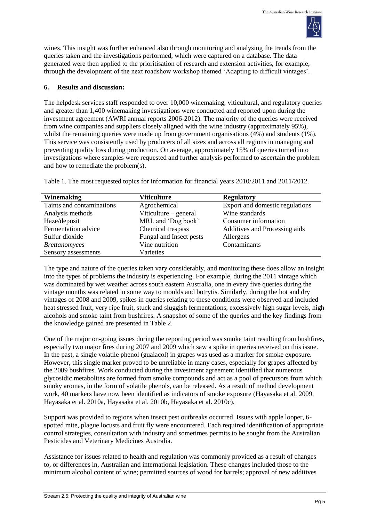

wines. This insight was further enhanced also through monitoring and analysing the trends from the queries taken and the investigations performed, which were captured on a database. The data generated were then applied to the prioritisation of research and extension activities, for example, through the development of the next roadshow workshop themed 'Adapting to difficult vintages'.

### **6. Results and discussion:**

The helpdesk services staff responded to over 10,000 winemaking, viticultural, and regulatory queries and greater than 1,400 winemaking investigations were conducted and reported upon during the investment agreement (AWRI annual reports 2006-2012). The majority of the queries were received from wine companies and suppliers closely aligned with the wine industry (approximately 95%), whilst the remaining queries were made up from government organisations (4%) and students (1%). This service was consistently used by producers of all sizes and across all regions in managing and preventing quality loss during production. On average, approximately 15% of queries turned into investigations where samples were requested and further analysis performed to ascertain the problem and how to remediate the problem(s).

| Winemaking                | <b>Viticulture</b>      | <b>Regulatory</b>               |
|---------------------------|-------------------------|---------------------------------|
| Taints and contaminations | Agrochemical            | Export and domestic regulations |
| Analysis methods          | Viticulture – general   | Wine standards                  |
| Haze/deposit              | MRL and 'Dog book'      | Consumer information            |
| Fermentation advice       | Chemical trespass       | Additives and Processing aids   |
| Sulfur dioxide            | Fungal and Insect pests | Allergens                       |
| <b>Brettanomyces</b>      | Vine nutrition          | Contaminants                    |
| Sensory assessments       | Varieties               |                                 |

Table 1. The most requested topics for information for financial years 2010/2011 and 2011/2012.

The type and nature of the queries taken vary considerably, and monitoring these does allow an insight into the types of problems the industry is experiencing. For example, during the 2011 vintage which was dominated by wet weather across south eastern Australia, one in every five queries during the vintage months was related in some way to moulds and botrytis. Similarly, during the hot and dry vintages of 2008 and 2009, spikes in queries relating to these conditions were observed and included heat stressed fruit, very ripe fruit, stuck and sluggish fermentations, excessively high sugar levels, high alcohols and smoke taint from bushfires. A snapshot of some of the queries and the key findings from the knowledge gained are presented in Table 2.

One of the major on-going issues during the reporting period was smoke taint resulting from bushfires, especially two major fires during 2007 and 2009 which saw a spike in queries received on this issue. In the past, a single volatile phenol (guaiacol) in grapes was used as a marker for smoke exposure. However, this single marker proved to be unreliable in many cases, especially for grapes affected by the 2009 bushfires. Work conducted during the investment agreement identified that numerous glycosidic metabolites are formed from smoke compounds and act as a pool of precursors from which smoky aromas, in the form of volatile phenols, can be released. As a result of method development work, 40 markers have now been identified as indicators of smoke exposure (Hayasaka et al. 2009, Hayasaka et al. 2010a, Hayasaka et al. 2010b, Hayasaka et al. 2010c).

Support was provided to regions when insect pest outbreaks occurred. Issues with apple looper, 6 spotted mite, plague locusts and fruit fly were encountered. Each required identification of appropriate control strategies, consultation with industry and sometimes permits to be sought from the Australian Pesticides and Veterinary Medicines Australia.

Assistance for issues related to health and regulation was commonly provided as a result of changes to, or differences in, Australian and international legislation. These changes included those to the minimum alcohol content of wine; permitted sources of wood for barrels; approval of new additives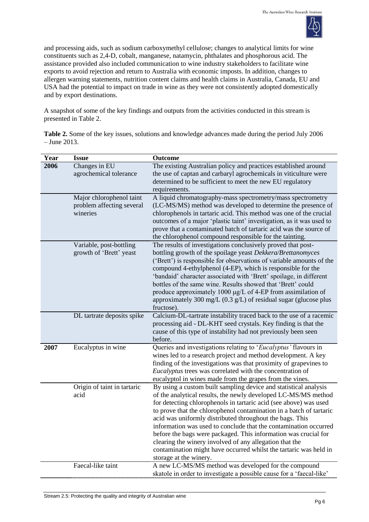

and processing aids, such as sodium carboxymethyl cellulose; changes to analytical limits for wine constituents such as 2,4-D, cobalt, manganese, natamycin, phthalates and phosphorous acid. The assistance provided also included communication to wine industry stakeholders to facilitate wine exports to avoid rejection and return to Australia with economic imposts. In addition, changes to allergen warning statements, nutrition content claims and health claims in Australia, Canada, EU and USA had the potential to impact on trade in wine as they were not consistently adopted domestically and by export destinations.

A snapshot of some of the key findings and outputs from the activities conducted in this stream is presented in Table 2.

**Table 2.** Some of the key issues, solutions and knowledge advances made during the period July 2006 – June 2013.

| Year | <b>Issue</b>                                                      | Outcome                                                                                                                                                                                                                                                                                                                                                                                                                                                                                                                                                                                                                                     |
|------|-------------------------------------------------------------------|---------------------------------------------------------------------------------------------------------------------------------------------------------------------------------------------------------------------------------------------------------------------------------------------------------------------------------------------------------------------------------------------------------------------------------------------------------------------------------------------------------------------------------------------------------------------------------------------------------------------------------------------|
| 2006 | Changes in EU<br>agrochemical tolerance                           | The existing Australian policy and practices established around<br>the use of captan and carbaryl agrochemicals in viticulture were<br>determined to be sufficient to meet the new EU regulatory<br>requirements.                                                                                                                                                                                                                                                                                                                                                                                                                           |
|      | Major chlorophenol taint<br>problem affecting several<br>wineries | A liquid chromatography-mass spectrometry/mass spectrometry<br>(LC-MS/MS) method was developed to determine the presence of<br>chlorophenols in tartaric acid. This method was one of the crucial<br>outcomes of a major 'plastic taint' investigation, as it was used to<br>prove that a contaminated batch of tartaric acid was the source of<br>the chlorophenol compound responsible for the tainting.                                                                                                                                                                                                                                  |
|      | Variable, post-bottling<br>growth of 'Brett' yeast                | The results of investigations conclusively proved that post-<br>bottling growth of the spoilage yeast Dekkera/Brettanomyces<br>('Brett') is responsible for observations of variable amounts of the<br>compound 4-ethylphenol (4-EP), which is responsible for the<br>'bandaid' character associated with 'Brett' spoilage, in different<br>bottles of the same wine. Results showed that 'Brett' could<br>produce approximately 1000 $\mu$ g/L of 4-EP from assimilation of<br>approximately 300 mg/L $(0.3 \text{ g/L})$ of residual sugar (glucose plus<br>fructose).                                                                    |
|      | DL tartrate deposits spike                                        | Calcium-DL-tartrate instability traced back to the use of a racemic<br>processing aid - DL-KHT seed crystals. Key finding is that the<br>cause of this type of instability had not previously been seen<br>before.                                                                                                                                                                                                                                                                                                                                                                                                                          |
| 2007 | Eucalyptus in wine                                                | Queries and investigations relating to 'Eucalyptus' flavours in<br>wines led to a research project and method development. A key<br>finding of the investigations was that proximity of grapevines to<br>Eucalyptus trees was correlated with the concentration of<br>eucalyptol in wines made from the grapes from the vines.                                                                                                                                                                                                                                                                                                              |
|      | Origin of taint in tartaric<br>acid                               | By using a custom built sampling device and statistical analysis<br>of the analytical results, the newly developed LC-MS/MS method<br>for detecting chlorophenols in tartaric acid (see above) was used<br>to prove that the chlorophenol contamination in a batch of tartaric<br>acid was uniformly distributed throughout the bags. This<br>information was used to conclude that the contamination occurred<br>before the bags were packaged. This information was crucial for<br>clearing the winery involved of any allegation that the<br>contamination might have occurred whilst the tartaric was held in<br>storage at the winery. |
|      | Faecal-like taint                                                 | A new LC-MS/MS method was developed for the compound<br>skatole in order to investigate a possible cause for a 'faecal-like'                                                                                                                                                                                                                                                                                                                                                                                                                                                                                                                |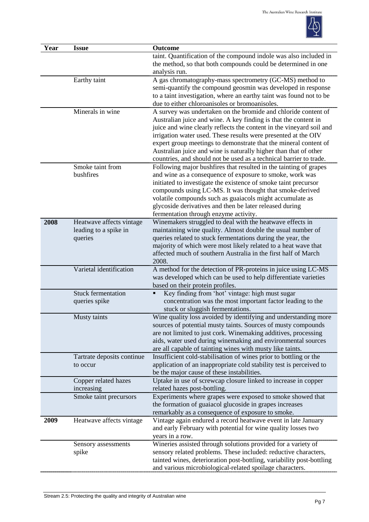

| Year | <b>Issue</b>                                                 | Outcome                                                                                                                                                                                                                                                                                                                                                                                                                                                                                   |
|------|--------------------------------------------------------------|-------------------------------------------------------------------------------------------------------------------------------------------------------------------------------------------------------------------------------------------------------------------------------------------------------------------------------------------------------------------------------------------------------------------------------------------------------------------------------------------|
|      |                                                              | taint. Quantification of the compound indole was also included in<br>the method, so that both compounds could be determined in one<br>analysis run.                                                                                                                                                                                                                                                                                                                                       |
|      | Earthy taint                                                 | A gas chromatography-mass spectrometry (GC-MS) method to<br>semi-quantify the compound geosmin was developed in response<br>to a taint investigation, where an earthy taint was found not to be<br>due to either chloroanisoles or bromoanisoles.                                                                                                                                                                                                                                         |
|      | Minerals in wine                                             | A survey was undertaken on the bromide and chloride content of<br>Australian juice and wine. A key finding is that the content in<br>juice and wine clearly reflects the content in the vineyard soil and<br>irrigation water used. These results were presented at the OIV<br>expert group meetings to demonstrate that the mineral content of<br>Australian juice and wine is naturally higher than that of other<br>countries, and should not be used as a technical barrier to trade. |
|      | Smoke taint from<br>bushfires                                | Following major bushfires that resulted in the tainting of grapes<br>and wine as a consequence of exposure to smoke, work was<br>initiated to investigate the existence of smoke taint precursor<br>compounds using LC-MS. It was thought that smoke-derived<br>volatile compounds such as guaiacols might accumulate as<br>glycoside derivatives and then be later released during<br>fermentation through enzyme activity.                                                              |
| 2008 | Heatwave affects vintage<br>leading to a spike in<br>queries | Winemakers struggled to deal with the heatwave effects in<br>maintaining wine quality. Almost double the usual number of<br>queries related to stuck fermentations during the year, the<br>majority of which were most likely related to a heat wave that<br>affected much of southern Australia in the first half of March<br>2008.                                                                                                                                                      |
|      | Varietal identification                                      | A method for the detection of PR-proteins in juice using LC-MS<br>was developed which can be used to help differentiate varieties<br>based on their protein profiles.                                                                                                                                                                                                                                                                                                                     |
|      | <b>Stuck fermentation</b><br>queries spike                   | Key finding from 'hot' vintage: high must sugar<br>٠<br>concentration was the most important factor leading to the<br>stuck or sluggish fermentations.                                                                                                                                                                                                                                                                                                                                    |
|      | Musty taints                                                 | Wine quality loss avoided by identifying and understanding more<br>sources of potential musty taints. Sources of musty compounds<br>are not limited to just cork. Winemaking additives, processing<br>aids, water used during winemaking and environmental sources<br>are all capable of tainting wines with musty like taints.                                                                                                                                                           |
|      | Tartrate deposits continue<br>to occur                       | Insufficient cold-stabilisation of wines prior to bottling or the<br>application of an inappropriate cold stability test is perceived to<br>be the major cause of these instabilities.                                                                                                                                                                                                                                                                                                    |
|      | Copper related hazes<br>increasing<br>Smoke taint precursors | Uptake in use of screwcap closure linked to increase in copper<br>related hazes post-bottling.<br>Experiments where grapes were exposed to smoke showed that                                                                                                                                                                                                                                                                                                                              |
|      |                                                              | the formation of guaiacol glucoside in grapes increases<br>remarkably as a consequence of exposure to smoke.                                                                                                                                                                                                                                                                                                                                                                              |
| 2009 | Heatwave affects vintage                                     | Vintage again endured a record heatwave event in late January<br>and early February with potential for wine quality losses two<br>years in a row.                                                                                                                                                                                                                                                                                                                                         |
|      | Sensory assessments<br>spike                                 | Wineries assisted through solutions provided for a variety of<br>sensory related problems. These included: reductive characters,<br>tainted wines, deterioration post-bottling, variability post-bottling<br>and various microbiological-related spoilage characters.                                                                                                                                                                                                                     |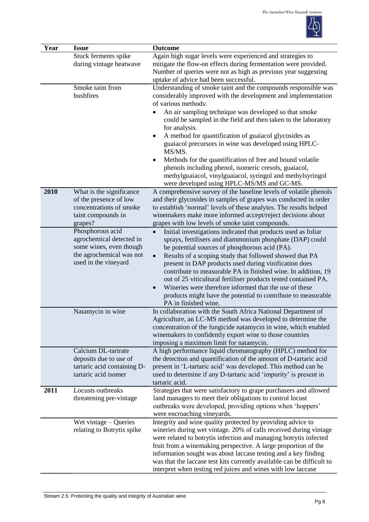

| Year | <b>Issue</b>                                                                                                   | Outcome                                                                                                                                                                                                                                                                                                                                                                                                                                                                                                                  |
|------|----------------------------------------------------------------------------------------------------------------|--------------------------------------------------------------------------------------------------------------------------------------------------------------------------------------------------------------------------------------------------------------------------------------------------------------------------------------------------------------------------------------------------------------------------------------------------------------------------------------------------------------------------|
|      | Stuck ferments spike<br>during vintage heatwave                                                                | Again high sugar levels were experienced and strategies to<br>mitigate the flow-on effects during fermentation were provided.<br>Number of queries were not as high as previous year suggesting<br>uptake of advice had been successful.                                                                                                                                                                                                                                                                                 |
|      | Smoke taint from<br>bushfires                                                                                  | Understanding of smoke taint and the compounds responsible was<br>considerably improved with the development and implementation<br>of various methods:                                                                                                                                                                                                                                                                                                                                                                   |
|      |                                                                                                                | An air sampling technique was developed so that smoke<br>could be sampled in the field and then taken to the laboratory<br>for analysis.<br>A method for quantification of guaiacol glycosides as<br>$\bullet$<br>guaiacol precursors in wine was developed using HPLC-<br>MS/MS.<br>Methods for the quantification of free and bound volatile<br>٠<br>phenols including phenol, isomeric cresols, guaiacol,<br>methylguaiacol, vinylguaiacol, syringol and methylsyringol<br>were developed using HPLC-MS/MS and GC-MS. |
| 2010 | What is the significance<br>of the presence of low<br>concentrations of smoke<br>taint compounds in<br>grapes? | A comprehensive survey of the baseline levels of volatile phenols<br>and their glycosides in samples of grapes was conducted in order<br>to establish 'normal' levels of these analytes. The results helped<br>winemakers make more informed accept/reject decisions about<br>grapes with low levels of smoke taint compounds.                                                                                                                                                                                           |
|      | Phosphorous acid<br>agrochemical detected in<br>some wines, even though<br>the agrochemical was not            | Initial investigations indicated that products used as foliar<br>$\bullet$<br>sprays, fertilisers and diammonium phosphate (DAP) could<br>be potential sources of phosphorous acid (PA).                                                                                                                                                                                                                                                                                                                                 |
|      | used in the vineyard                                                                                           | Results of a scoping study that followed showed that PA<br>$\bullet$<br>present in DAP products used during vinification does<br>contribute to measurable PA in finished wine. In addition, 19<br>out of 25 viticultural fertiliser products tested contained PA.<br>Wineries were therefore informed that the use of these<br>$\bullet$<br>products might have the potential to contribute to measurable<br>PA in finished wine.                                                                                        |
|      | Natamycin in wine                                                                                              | In collaboration with the South Africa National Department of<br>Agriculture, an LC-MS method was developed to determine the<br>concentration of the fungicide natamycin in wine, which enabled<br>winemakers to confidently export wine to those countries<br>imposing a maximum limit for natamycin.                                                                                                                                                                                                                   |
|      | Calcium DL-tartrate<br>deposits due to use of<br>tartaric acid containing D-<br>tartaric acid isomer           | A high performance liquid chromatography (HPLC) method for<br>the detection and quantification of the amount of D-tartaric acid<br>present in 'L-tartaric acid' was developed. This method can be<br>used to determine if any D-tartaric acid 'impurity' is present in<br>tartaric acid.                                                                                                                                                                                                                                 |
| 2011 | Locusts outbreaks<br>threatening pre-vintage                                                                   | Strategies that were satisfactory to grape purchasers and allowed<br>land managers to meet their obligations to control locust<br>outbreaks were developed, providing options when 'hoppers'<br>were encroaching vineyards.                                                                                                                                                                                                                                                                                              |
|      | Wet vintage – Queries<br>relating to Botrytis spike                                                            | Integrity and wine quality protected by providing advice to<br>wineries during wet vintage. 20% of calls received during vintage<br>were related to botrytis infection and managing botrytis infected<br>fruit from a winemaking perspective. A large proportion of the<br>information sought was about laccase testing and a key finding<br>was that the laccase test kits currently available can be difficult to<br>interpret when testing red juices and wines with low laccase                                      |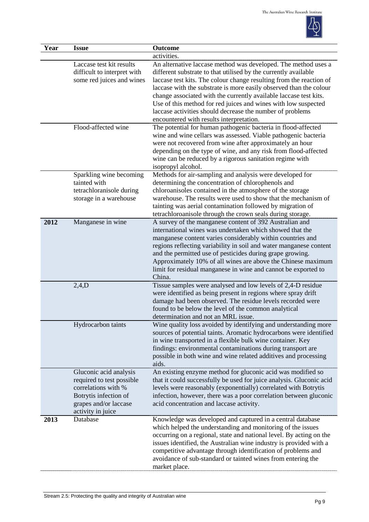

| Year | <b>Issue</b>                                                                                                                                      | Outcome<br>activities.                                                                                                                                                                                                                                                                                                                                                                                                                                                                                                         |
|------|---------------------------------------------------------------------------------------------------------------------------------------------------|--------------------------------------------------------------------------------------------------------------------------------------------------------------------------------------------------------------------------------------------------------------------------------------------------------------------------------------------------------------------------------------------------------------------------------------------------------------------------------------------------------------------------------|
|      | Laccase test kit results<br>difficult to interpret with<br>some red juices and wines                                                              | An alternative laccase method was developed. The method uses a<br>different substrate to that utilised by the currently available<br>laccase test kits. The colour change resulting from the reaction of<br>laccase with the substrate is more easily observed than the colour<br>change associated with the currently available laccase test kits.<br>Use of this method for red juices and wines with low suspected<br>laccase activities should decrease the number of problems<br>encountered with results interpretation. |
|      | Flood-affected wine                                                                                                                               | The potential for human pathogenic bacteria in flood-affected<br>wine and wine cellars was assessed. Viable pathogenic bacteria<br>were not recovered from wine after approximately an hour<br>depending on the type of wine, and any risk from flood-affected<br>wine can be reduced by a rigorous sanitation regime with<br>isopropyl alcohol.                                                                                                                                                                               |
|      | Sparkling wine becoming<br>tainted with<br>tetrachloranisole during<br>storage in a warehouse                                                     | Methods for air-sampling and analysis were developed for<br>determining the concentration of chlorophenols and<br>chloroanisoles contained in the atmosphere of the storage<br>warehouse. The results were used to show that the mechanism of<br>tainting was aerial contamination followed by migration of<br>tetrachloroanisole through the crown seals during storage.                                                                                                                                                      |
| 2012 | Manganese in wine                                                                                                                                 | A survey of the manganese content of 392 Australian and<br>international wines was undertaken which showed that the<br>manganese content varies considerably within countries and<br>regions reflecting variability in soil and water manganese content<br>and the permitted use of pesticides during grape growing.<br>Approximately 10% of all wines are above the Chinese maximum<br>limit for residual manganese in wine and cannot be exported to<br>China.                                                               |
|      | $2,4,\overline{D}$                                                                                                                                | Tissue samples were analysed and low levels of 2,4-D residue<br>were identified as being present in regions where spray drift<br>damage had been observed. The residue levels recorded were<br>found to be below the level of the common analytical<br>determination and not an MRL issue.                                                                                                                                                                                                                                     |
|      | Hydrocarbon taints                                                                                                                                | Wine quality loss avoided by identifying and understanding more<br>sources of potential taints. Aromatic hydrocarbons were identified<br>in wine transported in a flexible bulk wine container. Key<br>findings: environmental contaminations during transport are<br>possible in both wine and wine related additives and processing<br>aids.                                                                                                                                                                                 |
|      | Gluconic acid analysis<br>required to test possible<br>correlations with %<br>Botrytis infection of<br>grapes and/or laccase<br>activity in juice | An existing enzyme method for gluconic acid was modified so<br>that it could successfully be used for juice analysis. Gluconic acid<br>levels were reasonably (exponentially) correlated with Botrytis<br>infection, however, there was a poor correlation between gluconic<br>acid concentration and laccase activity.                                                                                                                                                                                                        |
| 2013 | Database                                                                                                                                          | Knowledge was developed and captured in a central database<br>which helped the understanding and monitoring of the issues<br>occurring on a regional, state and national level. By acting on the<br>issues identified, the Australian wine industry is provided with a<br>competitive advantage through identification of problems and<br>avoidance of sub-standard or tainted wines from entering the<br>market place.                                                                                                        |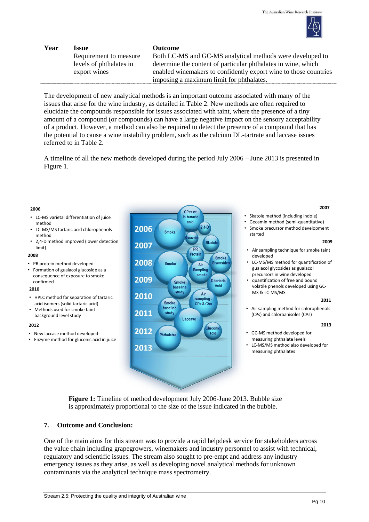

| Year | Issue                   | <b>Outcome</b>                                                   |
|------|-------------------------|------------------------------------------------------------------|
|      | Requirement to measure  | Both LC-MS and GC-MS analytical methods were developed to        |
|      | levels of phthalates in | determine the content of particular phthalates in wine, which    |
|      | export wines            | enabled winemakers to confidently export wine to those countries |
|      |                         | imposing a maximum limit for phthalates.                         |

The development of new analytical methods is an important outcome associated with many of the issues that arise for the wine industry, as detailed in Table 2. New methods are often required to elucidate the compounds responsible for issues associated with taint, where the presence of a tiny amount of a compound (or compounds) can have a large negative impact on the sensory acceptability of a product. However, a method can also be required to detect the presence of a compound that has the potential to cause a wine instability problem, such as the calcium DL-tartrate and laccase issues referred to in Table 2.

A timeline of all the new methods developed during the period July 2006 – June 2013 is presented in Figure 1.

#### **2006** CP taint • Skatole method (including indole) • LC-MS varietal differentiation of juice in tartaric acid method  $24n$ 2006 • LC-MS/MS tartaric acid chlorophenols Smoke started method • 2,4-D method improved (lower detection Skato 2007 limit) **PR** Proteir **2008** developed Smoke 2008 Glycosid • PR protein method developed Smoke Air guaiacol glycosides as guaiacol • Formation of guaiacol glucoside as a Sampling smoke precursors in wine developed consequence of exposure to smoke 2009 D-tartaric • quantification of free and bound confirmed Smoke Acid baseline **2010** study MS & LC-MS/MS Ai 2010 • HPLC method for separation of tartaric sampling Smoke acid isomers (solid tartaric acid) CPs & CAs

• Methods used for smoke taint background level study

### **2012**

- New laccase method developed
- Enzyme method for gluconic acid in juice



### **2007**

- 
- Geosmin method (semi-quantitative)
- Smoke precursor method development

### **2009**

- Air sampling technique for smoke taint
- LC-MS/MS method for quantification of
- volatile phenols developed using GC-

#### **2011**

• Air sampling method for chlorophenols (CPs) and chloroanisoles (CAs)

#### **2013**

- GC-MS method developed for measuring phthalate levels
- LC-MS/MS method also developed for measuring phthalates

**Figure 1:** Timeline of method development July 2006-June 2013. Bubble size is approximately proportional to the size of the issue indicated in the bubble.

### **7. Outcome and Conclusion:**

One of the main aims for this stream was to provide a rapid helpdesk service for stakeholders across the value chain including grapegrowers, winemakers and industry personnel to assist with technical, regulatory and scientific issues. The stream also sought to pre-empt and address any industry emergency issues as they arise, as well as developing novel analytical methods for unknown contaminants via the analytical technique mass spectrometry.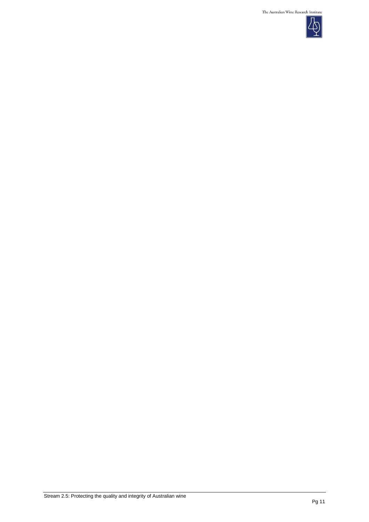The Australian Wine Research Institute

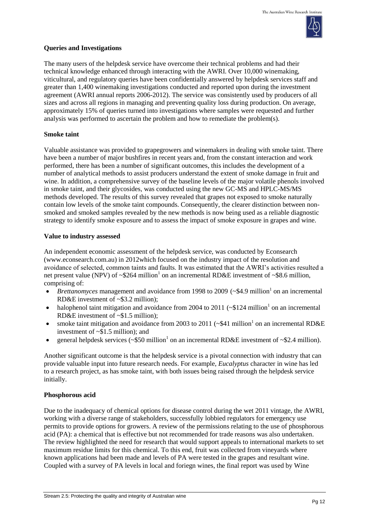

### **Queries and Investigations**

The many users of the helpdesk service have overcome their technical problems and had their technical knowledge enhanced through interacting with the AWRI. Over 10,000 winemaking, viticultural, and regulatory queries have been confidentially answered by helpdesk services staff and greater than 1,400 winemaking investigations conducted and reported upon during the investment agreement (AWRI annual reports 2006-2012). The service was consistently used by producers of all sizes and across all regions in managing and preventing quality loss during production. On average, approximately 15% of queries turned into investigations where samples were requested and further analysis was performed to ascertain the problem and how to remediate the problem(s).

### **Smoke taint**

Valuable assistance was provided to grapegrowers and winemakers in dealing with smoke taint. There have been a number of major bushfires in recent years and, from the constant interaction and work performed, there has been a number of significant outcomes, this includes the development of a number of analytical methods to assist producers understand the extent of smoke damage in fruit and wine. In addition, a comprehensive survey of the baseline levels of the major volatile phenols involved in smoke taint, and their glycosides, was conducted using the new GC-MS and HPLC-MS/MS methods developed. The results of this survey revealed that grapes not exposed to smoke naturally contain low levels of the smoke taint compounds. Consequently, the clearer distinction between nonsmoked and smoked samples revealed by the new methods is now being used as a reliable diagnostic strategy to identify smoke exposure and to assess the impact of smoke exposure in grapes and wine.

### **Value to industry assessed**

An independent economic assessment of the helpdesk service, was conducted by Econsearch [\(www.econsearch.com.au\)](http://www.econsearch.com.au/) in 2012which focused on the industry impact of the resolution and avoidance of selected, common taints and faults. It was estimated that the AWRI's activities resulted a net present value (NPV) of  $\sim$ \$264 million<sup>1</sup> on an incremental RD&E investment of  $\sim$ \$8.6 million, comprising of:

- *Brettanomyces* management and avoidance from 1998 to 2009 ( $\sim$ \$4.9 million<sup>1</sup> on an incremental RD&E investment of ~\$3.2 million);
- halophenol taint mitigation and avoidance from 2004 to 2011 ( $\sim$ \$124 million<sup>1</sup> on an incremental RD&E investment of ~\$1.5 million);
- smoke taint mitigation and avoidance from 2003 to 2011  $(\sim $41 \text{ million}^1 \text{ on an incremental RD&E})$ investment of ~\$1.5 million); and
- general helpdesk services ( $\sim$ \$50 million<sup>1</sup> on an incremental RD&E investment of  $\sim$ \$2.4 million).

Another significant outcome is that the helpdesk service is a pivotal connection with industry that can provide valuable input into future research needs. For example, *Eucalyptus* character in wine has led to a research project, as has smoke taint, with both issues being raised through the helpdesk service initially.

### **Phosphorous acid**

Due to the inadequacy of chemical options for disease control during the wet 2011 vintage, the AWRI, working with a diverse range of stakeholders, successfully lobbied regulators for emergency use permits to provide options for growers. A review of the permissions relating to the use of phosphorous acid (PA): a chemical that is effective but not recommended for trade reasons was also undertaken. The review highlighted the need for research that would support appeals to international markets to set maximum residue limits for this chemical. To this end, fruit was collected from vineyards where known applications had been made and levels of PA were tested in the grapes and resultant wine. Coupled with a survey of PA levels in local and foriegn wines, the final report was used by Wine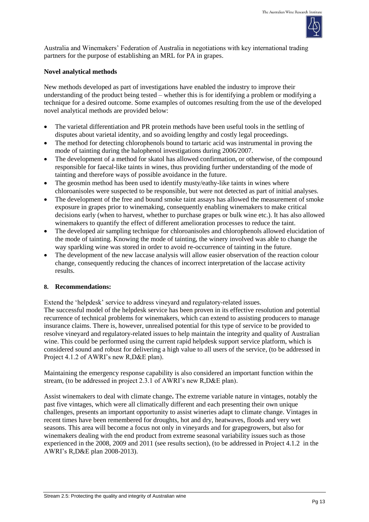

Australia and Winemakers' Federation of Australia in negotiations with key international trading partners for the purpose of establishing an MRL for PA in grapes.

### **Novel analytical methods**

New methods developed as part of investigations have enabled the industry to improve their understanding of the product being tested – whether this is for identifying a problem or modifying a technique for a desired outcome. Some examples of outcomes resulting from the use of the developed novel analytical methods are provided below:

- The varietal differentiation and PR protein methods have been useful tools in the settling of disputes about varietal identity, and so avoiding lengthy and costly legal proceedings.
- The method for detecting chlorophenols bound to tartaric acid was instrumental in proving the mode of tainting during the halophenol investigations during 2006/2007.
- The development of a method for skatol has allowed confirmation, or otherwise, of the compound responsible for faecal-like taints in wines, thus providing further understanding of the mode of tainting and therefore ways of possible avoidance in the future.
- The geosmin method has been used to identify musty/eathy-like taints in wines where chloroanisoles were suspected to be responsible, but were not detected as part of initial analyses.
- The development of the free and bound smoke taint assays has allowed the measurement of smoke exposure in grapes prior to winemaking, consequently enabling winemakers to make critical decisions early (when to harvest, whether to purchase grapes or bulk wine etc.). It has also allowed winemakers to quantify the effect of different amelioration processes to reduce the taint.
- The developed air sampling technique for chloroanisoles and chlorophenols allowed elucidation of the mode of tainting. Knowing the mode of tainting, the winery involved was able to change the way sparkling wine was stored in order to avoid re-occurrence of tainting in the future.
- The development of the new laccase analysis will allow easier observation of the reaction colour change, consequently reducing the chances of incorrect interpretation of the laccase activity results.

# **8. Recommendations:**

Extend the 'helpdesk' service to address vineyard and regulatory-related issues.

The successful model of the helpdesk service has been proven in its effective resolution and potential recurrence of technical problems for winemakers, which can extend to assisting producers to manage insurance claims. There is, however, unrealised potential for this type of service to be provided to resolve vineyard and regulatory-related issues to help maintain the integrity and quality of Australian wine. This could be performed using the current rapid helpdesk support service platform, which is considered sound and robust for delivering a high value to all users of the service, (to be addressed in Project 4.1.2 of AWRI's new R,D&E plan).

Maintaining the emergency response capability is also considered an important function within the stream, (to be addressed in project 2.3.1 of AWRI's new R,D&E plan).

Assist winemakers to deal with climate change**.** The extreme variable nature in vintages, notably the past five vintages, which were all climatically different and each presenting their own unique challenges, presents an important opportunity to assist wineries adapt to climate change. Vintages in recent times have been remembered for droughts, hot and dry, heatwaves, floods and very wet seasons. This area will become a focus not only in vineyards and for grapegrowers, but also for winemakers dealing with the end product from extreme seasonal variability issues such as those experienced in the 2008, 2009 and 2011 (see results section), (to be addressed in Project 4.1.2 in the AWRI's R,D&E plan 2008-2013).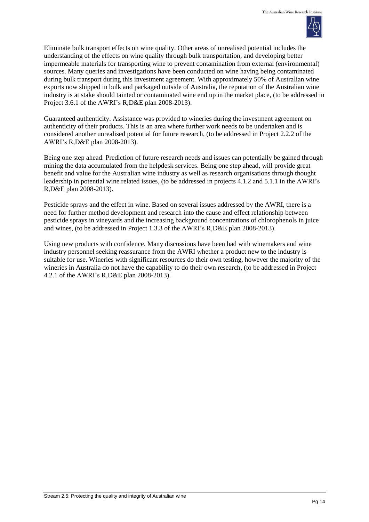

Eliminate bulk transport effects on wine quality. Other areas of unrealised potential includes the understanding of the effects on wine quality through bulk transportation, and developing better impermeable materials for transporting wine to prevent contamination from external (environmental) sources. Many queries and investigations have been conducted on wine having being contaminated during bulk transport during this investment agreement. With approximately 50% of Australian wine exports now shipped in bulk and packaged outside of Australia, the reputation of the Australian wine industry is at stake should tainted or contaminated wine end up in the market place, (to be addressed in Project 3.6.1 of the AWRI's R,D&E plan 2008-2013).

Guaranteed authenticity. Assistance was provided to wineries during the investment agreement on authenticity of their products. This is an area where further work needs to be undertaken and is considered another unrealised potential for future research, (to be addressed in Project 2.2.2 of the AWRI's R,D&E plan 2008-2013).

Being one step ahead. Prediction of future research needs and issues can potentially be gained through mining the data accumulated from the helpdesk services. Being one step ahead, will provide great benefit and value for the Australian wine industry as well as research organisations through thought leadership in potential wine related issues, (to be addressed in projects 4.1.2 and 5.1.1 in the AWRI's R,D&E plan 2008-2013).

Pesticide sprays and the effect in wine. Based on several issues addressed by the AWRI, there is a need for further method development and research into the cause and effect relationship between pesticide sprays in vineyards and the increasing background concentrations of chlorophenols in juice and wines, (to be addressed in Project 1.3.3 of the AWRI's R,D&E plan 2008-2013).

Using new products with confidence. Many discussions have been had with winemakers and wine industry personnel seeking reassurance from the AWRI whether a product new to the industry is suitable for use. Wineries with significant resources do their own testing, however the majority of the wineries in Australia do not have the capability to do their own research, (to be addressed in Project 4.2.1 of the AWRI's R,D&E plan 2008-2013).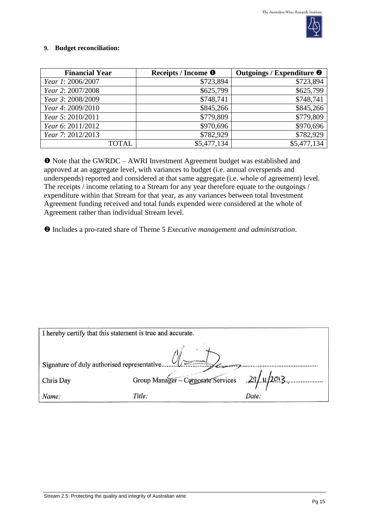

### **9. Budget reconciliation:**

| <b>Financial Year</b> |              | Receipts / Income <sup>O</sup> | Outgoings / Expenditure <sup>@</sup> |
|-----------------------|--------------|--------------------------------|--------------------------------------|
| Year 1: 2006/2007     |              | \$723,894                      | \$723,894                            |
| Year 2: 2007/2008     |              | \$625,799                      | \$625,799                            |
| Year 3: 2008/2009     |              | \$748,741                      | \$748,741                            |
| Year 4: 2009/2010     |              | \$845,266                      | \$845,266                            |
| Year 5: 2010/2011     |              | \$779,809                      | \$779,809                            |
| Year 6: 2011/2012     |              | \$970,696                      | \$970,696                            |
| Year 7: 2012/2013     |              | \$782,929                      | \$782,929                            |
|                       | <b>TOTAL</b> | \$5,477,134                    | \$5,477,134                          |

 Note that the GWRDC – AWRI Investment Agreement budget was established and approved at an aggregate level, with variances to budget (i.e. annual overspends and underspends) reported and considered at that same aggregate (i.e. whole of agreement) level. The receipts / income relating to a Stream for any year therefore equate to the outgoings / expenditure within that Stream for that year, as any variances between total Investment Agreement funding received and total funds expended were considered at the whole of Agreement rather than individual Stream level.

Includes a pro-rated share of Theme 5 *Executive management and administration*.

| I hereby certify that this statement is true and accurate. |                                                |       |  |
|------------------------------------------------------------|------------------------------------------------|-------|--|
| Guannal                                                    |                                                |       |  |
| Chris Day                                                  | Group Manager - Corporate Services 29/11/2013. |       |  |
| Name:                                                      | Title:                                         | Date: |  |